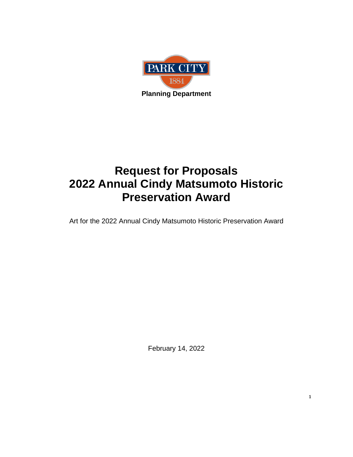

# **Request for Proposals 2022 Annual Cindy Matsumoto Historic Preservation Award**

Art for the 2022 Annual Cindy Matsumoto Historic Preservation Award

February 14, 2022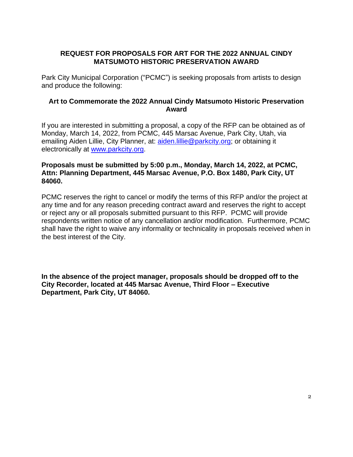# **REQUEST FOR PROPOSALS FOR ART FOR THE 2022 ANNUAL CINDY MATSUMOTO HISTORIC PRESERVATION AWARD**

Park City Municipal Corporation ("PCMC") is seeking proposals from artists to design and produce the following:

#### **Art to Commemorate the 2022 Annual Cindy Matsumoto Historic Preservation Award**

If you are interested in submitting a proposal, a copy of the RFP can be obtained as of Monday, March 14, 2022, from PCMC, 445 Marsac Avenue, Park City, Utah, via emailing Aiden Lillie, City Planner, at: [aiden.lillie@parkcity.org;](mailto:aiden.lillie@parkcity.org) or obtaining it electronically at [www.parkcity.org.](http://www.parkcity.org/)

#### **Proposals must be submitted by 5:00 p.m., Monday, March 14, 2022, at PCMC, Attn: Planning Department, 445 Marsac Avenue, P.O. Box 1480, Park City, UT 84060.**

PCMC reserves the right to cancel or modify the terms of this RFP and/or the project at any time and for any reason preceding contract award and reserves the right to accept or reject any or all proposals submitted pursuant to this RFP. PCMC will provide respondents written notice of any cancellation and/or modification. Furthermore, PCMC shall have the right to waive any informality or technicality in proposals received when in the best interest of the City.

**In the absence of the project manager, proposals should be dropped off to the City Recorder, located at 445 Marsac Avenue, Third Floor – Executive Department, Park City, UT 84060.**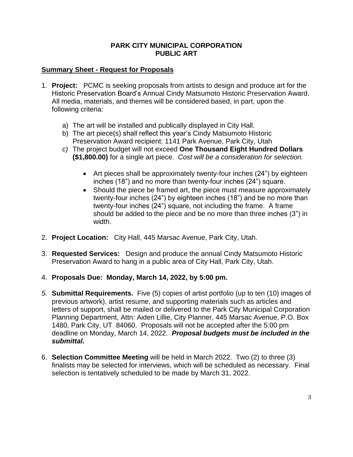#### **PARK CITY MUNICIPAL CORPORATION PUBLIC ART**

# **Summary Sheet - Request for Proposals**

- 1. **Project:** PCMC is seeking proposals from artists to design and produce art for the Historic Preservation Board's Annual Cindy Matsumoto Historic Preservation Award. All media, materials, and themes will be considered based, in part, upon the following criteria:
	- a) The art will be installed and publically displayed in City Hall.
	- b) The art piece(s) shall reflect this year's Cindy Matsumoto Historic Preservation Award recipient: 1141 Park Avenue, Park City, Utah
	- *c)* The project budget will not exceed **One Thousand Eight Hundred Dollars (\$1,800.00)** for a single art piece. *Cost will be a consideration for selection.*
		- Art pieces shall be approximately twenty-four inches (24") by eighteen inches (18") and no more than twenty-four inches (24") square.
		- Should the piece be framed art, the piece must measure approximately twenty-four inches (24") by eighteen inches (18") and be no more than twenty-four inches (24") square, not including the frame. A frame should be added to the piece and be no more than three inches (3") in width.
- 2. **Project Location:** City Hall, 445 Marsac Avenue, Park City, Utah.
- 3. **Requested Services:** Design and produce the annual Cindy Matsumoto Historic Preservation Award to hang in a public area of City Hall, Park City, Utah.
- 4. **Proposals Due: Monday, March 14, 2022, by 5:00 pm.**
- *5.* **Submittal Requirements.** Five (5) copies of artist portfolio (up to ten (10) images of previous artwork), artist resume, and supporting materials such as articles and letters of support, shall be mailed or delivered to the Park City Municipal Corporation Planning Department, Attn: Aiden Lillie, City Planner, 445 Marsac Avenue, P.O. Box 1480, Park City, UT 84060. Proposals will not be accepted after the 5:00 pm deadline on Monday, March 14, 2022. *Proposal budgets must be included in the submittal.*
- 6. **Selection Committee Meeting** will be held in March 2022. Two (2) to three (3) finalists may be selected for interviews, which will be scheduled as necessary. Final selection is tentatively scheduled to be made by March 31, 2022.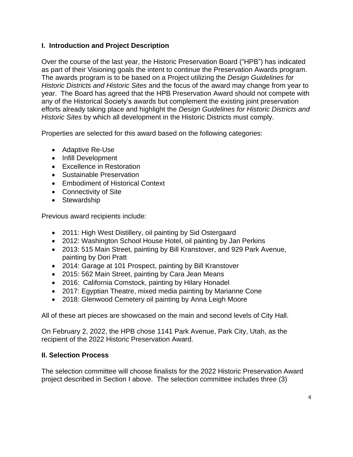# **I. Introduction and Project Description**

Over the course of the last year, the Historic Preservation Board ("HPB") has indicated as part of their Visioning goals the intent to continue the Preservation Awards program. The awards program is to be based on a Project utilizing the *Design Guidelines for Historic Districts and Historic Sites* and the focus of the award may change from year to year. The Board has agreed that the HPB Preservation Award should not compete with any of the Historical Society's awards but complement the existing joint preservation efforts already taking place and highlight the *Design Guidelines for Historic Districts and Historic Sites* by which all development in the Historic Districts must comply.

Properties are selected for this award based on the following categories:

- Adaptive Re-Use
- Infill Development
- Excellence in Restoration
- Sustainable Preservation
- Embodiment of Historical Context
- Connectivity of Site
- Stewardship

Previous award recipients include:

- 2011: High West Distillery, oil painting by Sid Ostergaard
- 2012: Washington School House Hotel, oil painting by Jan Perkins
- 2013: 515 Main Street, painting by Bill Kranstover, and 929 Park Avenue, painting by Dori Pratt
- 2014: Garage at 101 Prospect, painting by Bill Kranstover
- 2015: 562 Main Street, painting by Cara Jean Means
- 2016: California Comstock, painting by Hilary Honadel
- 2017: Egyptian Theatre, mixed media painting by Marianne Cone
- 2018: Glenwood Cemetery oil painting by Anna Leigh Moore

All of these art pieces are showcased on the main and second levels of City Hall.

On February 2, 2022, the HPB chose 1141 Park Avenue, Park City, Utah, as the recipient of the 2022 Historic Preservation Award.

# **II. Selection Process**

The selection committee will choose finalists for the 2022 Historic Preservation Award project described in Section I above. The selection committee includes three (3)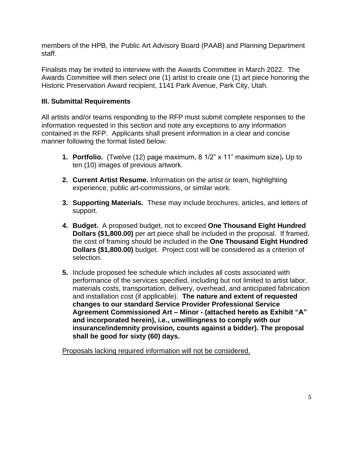members of the HPB, the Public Art Advisory Board (PAAB) and Planning Department staff.

Finalists may be invited to interview with the Awards Committee in March 2022. The Awards Committee will then select one (1) artist to create one (1) art piece honoring the Historic Preservation Award recipient, 1141 Park Avenue, Park City, Utah.

# **III. Submittal Requirements**

All artists and/or teams responding to the RFP must submit complete responses to the information requested in this section and note any exceptions to any information contained in the RFP. Applicants shall present information in a clear and concise manner following the format listed below:

- **1. Portfolio.** (Twelve (12) page maximum, 8 1/2" x 11" maximum size)**.** Up to ten (10) images of previous artwork.
- **2. Current Artist Resume.** Information on the artist or team, highlighting experience, public art-commissions, or similar work.
- **3. Supporting Materials.** These may include brochures, articles, and letters of support.
- **4. Budget.** A proposed budget, not to exceed **One Thousand Eight Hundred Dollars (\$1,800.00)** per art piece shall be included in the proposal. If framed, the cost of framing should be included in the **One Thousand Eight Hundred Dollars (\$1,800.00)** budget. Project cost will be considered as a criterion of selection.
- **5.** Include proposed fee schedule which includes all costs associated with performance of the services specified, including but not limited to artist labor, materials costs, transportation, delivery, overhead, and anticipated fabrication and installation cost (if applicable). **The nature and extent of requested changes to our standard Service Provider Professional Service Agreement Commissioned Art – Minor - (attached hereto as Exhibit "A" and incorporated herein), i.e., unwillingness to comply with our insurance/indemnity provision, counts against a bidder). The proposal shall be good for sixty (60) days.**

Proposals lacking required information will not be considered.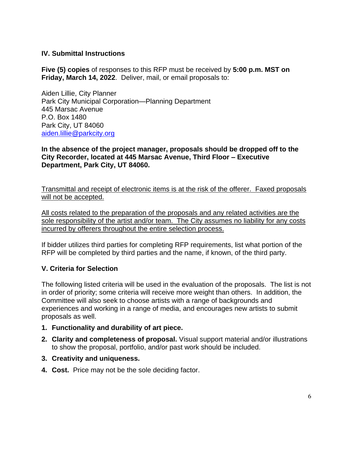# **IV. Submittal Instructions**

**Five (5) copies** of responses to this RFP must be received by **5:00 p.m. MST on Friday, March 14, 2022**. Deliver, mail, or email proposals to:

Aiden Lillie, City Planner Park City Municipal Corporation—Planning Department 445 Marsac Avenue P.O. Box 1480 Park City, UT 84060 [aiden.lillie@parkcity.org](mailto:aiden.lillie@parkcity.org)

**In the absence of the project manager, proposals should be dropped off to the City Recorder, located at 445 Marsac Avenue, Third Floor – Executive Department, Park City, UT 84060.**

Transmittal and receipt of electronic items is at the risk of the offerer. Faxed proposals will not be accepted.

All costs related to the preparation of the proposals and any related activities are the sole responsibility of the artist and/or team. The City assumes no liability for any costs incurred by offerers throughout the entire selection process.

If bidder utilizes third parties for completing RFP requirements, list what portion of the RFP will be completed by third parties and the name, if known, of the third party.

#### **V. Criteria for Selection**

The following listed criteria will be used in the evaluation of the proposals. The list is not in order of priority; some criteria will receive more weight than others. In addition, the Committee will also seek to choose artists with a range of backgrounds and experiences and working in a range of media, and encourages new artists to submit proposals as well.

- **1. Functionality and durability of art piece.**
- **2. Clarity and completeness of proposal.** Visual support material and/or illustrations to show the proposal, portfolio, and/or past work should be included.
- **3. Creativity and uniqueness.**
- **4. Cost.** Price may not be the sole deciding factor.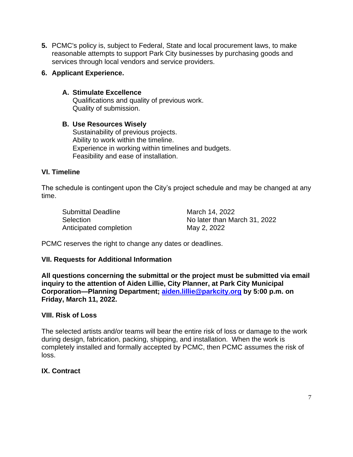**5.** PCMC's policy is, subject to Federal, State and local procurement laws, to make reasonable attempts to support Park City businesses by purchasing goods and services through local vendors and service providers.

#### **6. Applicant Experience.**

# **A. Stimulate Excellence**

Qualifications and quality of previous work. Quality of submission.

#### **B. Use Resources Wisely**

Sustainability of previous projects. Ability to work within the timeline. Experience in working within timelines and budgets. Feasibility and ease of installation.

#### **VI. Timeline**

The schedule is contingent upon the City's project schedule and may be changed at any time.

| Submittal Deadline     | March 14, 2022               |
|------------------------|------------------------------|
| Selection              | No later than March 31, 2022 |
| Anticipated completion | May 2, 2022                  |

PCMC reserves the right to change any dates or deadlines.

# **VII. Requests for Additional Information**

**All questions concerning the submittal or the project must be submitted via email inquiry to the attention of Aiden Lillie, City Planner, at Park City Municipal Corporation—Planning Department; [aiden.lillie@parkcity.org](mailto:aiden.lillie@parkcity.org) by 5:00 p.m. on Friday, March 11, 2022.**

#### **VIII. Risk of Loss**

The selected artists and/or teams will bear the entire risk of loss or damage to the work during design, fabrication, packing, shipping, and installation. When the work is completely installed and formally accepted by PCMC, then PCMC assumes the risk of loss.

# **IX. Contract**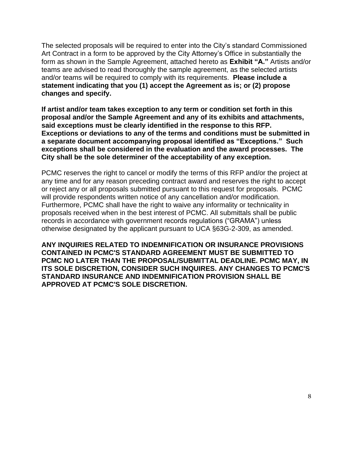The selected proposals will be required to enter into the City's standard Commissioned Art Contract in a form to be approved by the City Attorney's Office in substantially the form as shown in the Sample Agreement, attached hereto as **Exhibit "A."** Artists and/or teams are advised to read thoroughly the sample agreement, as the selected artists and/or teams will be required to comply with its requirements. **Please include a statement indicating that you (1) accept the Agreement as is; or (2) propose changes and specify.** 

**If artist and/or team takes exception to any term or condition set forth in this proposal and/or the Sample Agreement and any of its exhibits and attachments, said exceptions must be clearly identified in the response to this RFP. Exceptions or deviations to any of the terms and conditions must be submitted in a separate document accompanying proposal identified as "Exceptions." Such exceptions shall be considered in the evaluation and the award processes. The City shall be the sole determiner of the acceptability of any exception.**

PCMC reserves the right to cancel or modify the terms of this RFP and/or the project at any time and for any reason preceding contract award and reserves the right to accept or reject any or all proposals submitted pursuant to this request for proposals. PCMC will provide respondents written notice of any cancellation and/or modification. Furthermore, PCMC shall have the right to waive any informality or technicality in proposals received when in the best interest of PCMC. All submittals shall be public records in accordance with government records regulations ("GRAMA") unless otherwise designated by the applicant pursuant to UCA §63G-2-309, as amended.

**ANY INQUIRIES RELATED TO INDEMNIFICATION OR INSURANCE PROVISIONS CONTAINED IN PCMC'S STANDARD AGREEMENT MUST BE SUBMITTED TO PCMC NO LATER THAN THE PROPOSAL/SUBMITTAL DEADLINE. PCMC MAY, IN ITS SOLE DISCRETION, CONSIDER SUCH INQUIRES. ANY CHANGES TO PCMC'S STANDARD INSURANCE AND INDEMNIFICATION PROVISION SHALL BE APPROVED AT PCMC'S SOLE DISCRETION.**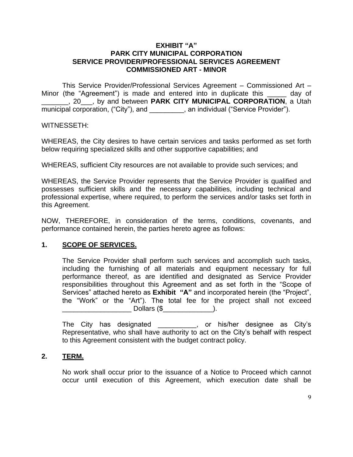#### **EXHIBIT "A" PARK CITY MUNICIPAL CORPORATION SERVICE PROVIDER/PROFESSIONAL SERVICES AGREEMENT COMMISSIONED ART - MINOR**

This Service Provider/Professional Services Agreement – Commissioned Art – Minor (the "Agreement") is made and entered into in duplicate this equal of \_\_\_\_\_\_\_, 20\_\_\_, by and between **PARK CITY MUNICIPAL CORPORATION**, a Utah municipal corporation, ("City"), and  $\qquad \qquad$ , an individual ("Service Provider").

#### WITNESSETH:

WHEREAS, the City desires to have certain services and tasks performed as set forth below requiring specialized skills and other supportive capabilities; and

WHEREAS, sufficient City resources are not available to provide such services; and

WHEREAS, the Service Provider represents that the Service Provider is qualified and possesses sufficient skills and the necessary capabilities, including technical and professional expertise, where required, to perform the services and/or tasks set forth in this Agreement.

NOW, THEREFORE, in consideration of the terms, conditions, covenants, and performance contained herein, the parties hereto agree as follows:

#### **1. SCOPE OF SERVICES.**

The Service Provider shall perform such services and accomplish such tasks, including the furnishing of all materials and equipment necessary for full performance thereof, as are identified and designated as Service Provider responsibilities throughout this Agreement and as set forth in the "Scope of Services" attached hereto as **Exhibit "A"** and incorporated herein (the "Project", the "Work" or the "Art"). The total fee for the project shall not exceed  $\Delta$  Dollars (\$  $\Delta$  ).

The City has designated \_\_\_\_\_\_\_\_\_\_, or his/her designee as City's Representative, who shall have authority to act on the City's behalf with respect to this Agreement consistent with the budget contract policy.

#### **2. TERM.**

No work shall occur prior to the issuance of a Notice to Proceed which cannot occur until execution of this Agreement, which execution date shall be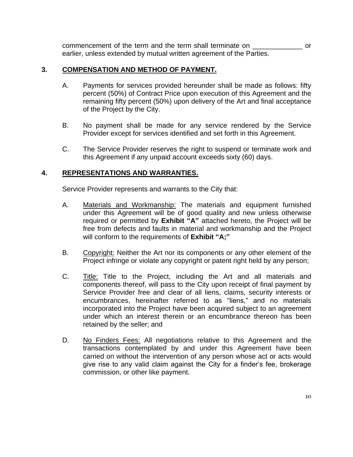commencement of the term and the term shall terminate on \_\_\_\_\_\_\_\_\_\_\_\_\_ or earlier, unless extended by mutual written agreement of the Parties.

#### **3. COMPENSATION AND METHOD OF PAYMENT.**

- A. Payments for services provided hereunder shall be made as follows: fifty percent (50%) of Contract Price upon execution of this Agreement and the remaining fifty percent (50%) upon delivery of the Art and final acceptance of the Project by the City.
- B. No payment shall be made for any service rendered by the Service Provider except for services identified and set forth in this Agreement.
- C. The Service Provider reserves the right to suspend or terminate work and this Agreement if any unpaid account exceeds sixty (60) days.

# **4. REPRESENTATIONS AND WARRANTIES.**

Service Provider represents and warrants to the City that:

- A. Materials and Workmanship: The materials and equipment furnished under this Agreement will be of good quality and new unless otherwise required or permitted by **Exhibit "A"** attached hereto, the Project will be free from defects and faults in material and workmanship and the Project will conform to the requirements of **Exhibit "A;"**
- B. Copyright: Neither the Art nor its components or any other element of the Project infringe or violate any copyright or patent right held by any person;
- C. Title: Title to the Project, including the Art and all materials and components thereof, will pass to the City upon receipt of final payment by Service Provider free and clear of all liens, claims, security interests or encumbrances, hereinafter referred to as "liens," and no materials incorporated into the Project have been acquired subject to an agreement under which an interest therein or an encumbrance thereon has been retained by the seller; and
- D. No Finders Fees: All negotiations relative to this Agreement and the transactions contemplated by and under this Agreement have been carried on without the intervention of any person whose act or acts would give rise to any valid claim against the City for a finder's fee, brokerage commission, or other like payment.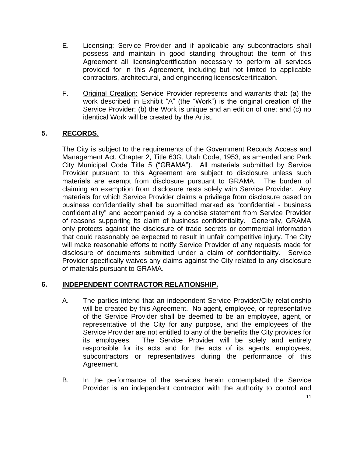- E. Licensing: Service Provider and if applicable any subcontractors shall possess and maintain in good standing throughout the term of this Agreement all licensing/certification necessary to perform all services provided for in this Agreement, including but not limited to applicable contractors, architectural, and engineering licenses/certification.
- F. Original Creation: Service Provider represents and warrants that: (a) the work described in Exhibit "A" (the "Work") is the original creation of the Service Provider; (b) the Work is unique and an edition of one; and (c) no identical Work will be created by the Artist.

# **5. RECORDS**.

The City is subject to the requirements of the Government Records Access and Management Act, Chapter 2, Title 63G, Utah Code, 1953, as amended and Park City Municipal Code Title 5 ("GRAMA"). All materials submitted by Service Provider pursuant to this Agreement are subject to disclosure unless such materials are exempt from disclosure pursuant to GRAMA. The burden of claiming an exemption from disclosure rests solely with Service Provider. Any materials for which Service Provider claims a privilege from disclosure based on business confidentiality shall be submitted marked as "confidential - business confidentiality" and accompanied by a concise statement from Service Provider of reasons supporting its claim of business confidentiality. Generally, GRAMA only protects against the disclosure of trade secrets or commercial information that could reasonably be expected to result in unfair competitive injury. The City will make reasonable efforts to notify Service Provider of any requests made for disclosure of documents submitted under a claim of confidentiality. Service Provider specifically waives any claims against the City related to any disclosure of materials pursuant to GRAMA.

# **6. INDEPENDENT CONTRACTOR RELATIONSHIP.**

- A. The parties intend that an independent Service Provider/City relationship will be created by this Agreement. No agent, employee, or representative of the Service Provider shall be deemed to be an employee, agent, or representative of the City for any purpose, and the employees of the Service Provider are not entitled to any of the benefits the City provides for its employees. The Service Provider will be solely and entirely responsible for its acts and for the acts of its agents, employees, subcontractors or representatives during the performance of this Agreement.
- B. In the performance of the services herein contemplated the Service Provider is an independent contractor with the authority to control and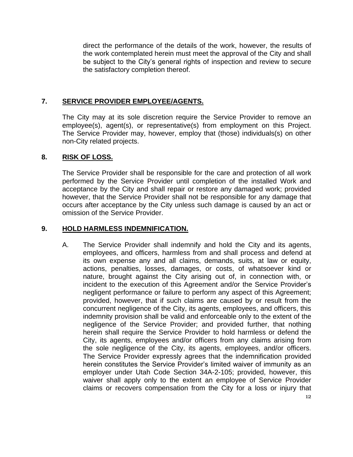direct the performance of the details of the work, however, the results of the work contemplated herein must meet the approval of the City and shall be subject to the City's general rights of inspection and review to secure the satisfactory completion thereof.

# **7. SERVICE PROVIDER EMPLOYEE/AGENTS.**

The City may at its sole discretion require the Service Provider to remove an employee(s), agent(s), or representative(s) from employment on this Project. The Service Provider may, however, employ that (those) individuals(s) on other non-City related projects.

#### **8. RISK OF LOSS.**

The Service Provider shall be responsible for the care and protection of all work performed by the Service Provider until completion of the installed Work and acceptance by the City and shall repair or restore any damaged work; provided however, that the Service Provider shall not be responsible for any damage that occurs after acceptance by the City unless such damage is caused by an act or omission of the Service Provider.

#### **9. HOLD HARMLESS INDEMNIFICATION.**

A. The Service Provider shall indemnify and hold the City and its agents, employees, and officers, harmless from and shall process and defend at its own expense any and all claims, demands, suits, at law or equity, actions, penalties, losses, damages, or costs, of whatsoever kind or nature, brought against the City arising out of, in connection with, or incident to the execution of this Agreement and/or the Service Provider's negligent performance or failure to perform any aspect of this Agreement; provided, however, that if such claims are caused by or result from the concurrent negligence of the City, its agents, employees, and officers, this indemnity provision shall be valid and enforceable only to the extent of the negligence of the Service Provider; and provided further, that nothing herein shall require the Service Provider to hold harmless or defend the City, its agents, employees and/or officers from any claims arising from the sole negligence of the City, its agents, employees, and/or officers. The Service Provider expressly agrees that the indemnification provided herein constitutes the Service Provider's limited waiver of immunity as an employer under Utah Code Section 34A-2-105; provided, however, this waiver shall apply only to the extent an employee of Service Provider claims or recovers compensation from the City for a loss or injury that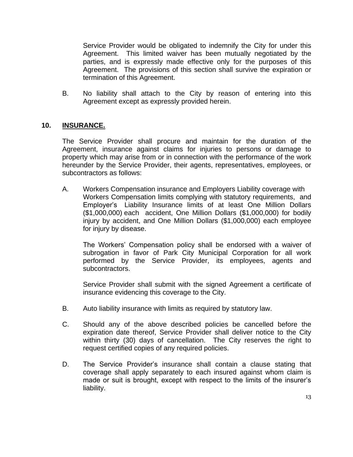Service Provider would be obligated to indemnify the City for under this Agreement. This limited waiver has been mutually negotiated by the parties, and is expressly made effective only for the purposes of this Agreement. The provisions of this section shall survive the expiration or termination of this Agreement.

B. No liability shall attach to the City by reason of entering into this Agreement except as expressly provided herein.

# **10. INSURANCE.**

The Service Provider shall procure and maintain for the duration of the Agreement, insurance against claims for injuries to persons or damage to property which may arise from or in connection with the performance of the work hereunder by the Service Provider, their agents, representatives, employees, or subcontractors as follows:

A. Workers Compensation insurance and Employers Liability coverage with Workers Compensation limits complying with statutory requirements, and Employer's Liability Insurance limits of at least One Million Dollars (\$1,000,000) each accident, One Million Dollars (\$1,000,000) for bodily injury by accident, and One Million Dollars (\$1,000,000) each employee for injury by disease.

The Workers' Compensation policy shall be endorsed with a waiver of subrogation in favor of Park City Municipal Corporation for all work performed by the Service Provider, its employees, agents and subcontractors.

Service Provider shall submit with the signed Agreement a certificate of insurance evidencing this coverage to the City.

- B. Auto liability insurance with limits as required by statutory law.
- C. Should any of the above described policies be cancelled before the expiration date thereof, Service Provider shall deliver notice to the City within thirty (30) days of cancellation. The City reserves the right to request certified copies of any required policies.
- D. The Service Provider's insurance shall contain a clause stating that coverage shall apply separately to each insured against whom claim is made or suit is brought, except with respect to the limits of the insurer's liability.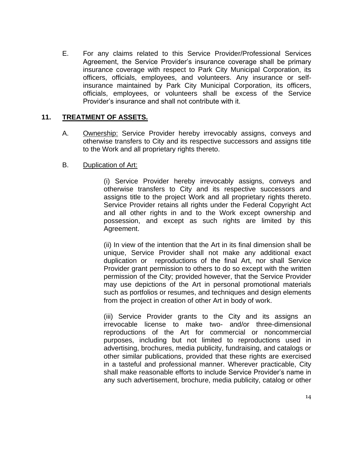E. For any claims related to this Service Provider/Professional Services Agreement, the Service Provider's insurance coverage shall be primary insurance coverage with respect to Park City Municipal Corporation, its officers, officials, employees, and volunteers. Any insurance or selfinsurance maintained by Park City Municipal Corporation, its officers, officials, employees, or volunteers shall be excess of the Service Provider's insurance and shall not contribute with it.

# **11. TREATMENT OF ASSETS.**

A. Ownership: Service Provider hereby irrevocably assigns, conveys and otherwise transfers to City and its respective successors and assigns title to the Work and all proprietary rights thereto.

# B. Duplication of Art:

(i) Service Provider hereby irrevocably assigns, conveys and otherwise transfers to City and its respective successors and assigns title to the project Work and all proprietary rights thereto. Service Provider retains all rights under the Federal Copyright Act and all other rights in and to the Work except ownership and possession, and except as such rights are limited by this Agreement.

(ii) In view of the intention that the Art in its final dimension shall be unique, Service Provider shall not make any additional exact duplication or reproductions of the final Art, nor shall Service Provider grant permission to others to do so except with the written permission of the City; provided however, that the Service Provider may use depictions of the Art in personal promotional materials such as portfolios or resumes, and techniques and design elements from the project in creation of other Art in body of work.

(iii) Service Provider grants to the City and its assigns an irrevocable license to make two- and/or three-dimensional reproductions of the Art for commercial or noncommercial purposes, including but not limited to reproductions used in advertising, brochures, media publicity, fundraising, and catalogs or other similar publications, provided that these rights are exercised in a tasteful and professional manner. Wherever practicable, City shall make reasonable efforts to include Service Provider's name in any such advertisement, brochure, media publicity, catalog or other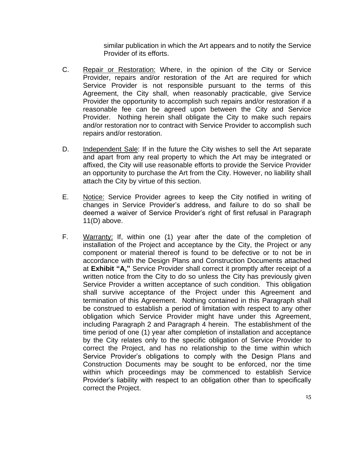similar publication in which the Art appears and to notify the Service Provider of its efforts.

- C. Repair or Restoration: Where, in the opinion of the City or Service Provider, repairs and/or restoration of the Art are required for which Service Provider is not responsible pursuant to the terms of this Agreement, the City shall, when reasonably practicable, give Service Provider the opportunity to accomplish such repairs and/or restoration if a reasonable fee can be agreed upon between the City and Service Provider. Nothing herein shall obligate the City to make such repairs and/or restoration nor to contract with Service Provider to accomplish such repairs and/or restoration.
- D. Independent Sale: If in the future the City wishes to sell the Art separate and apart from any real property to which the Art may be integrated or affixed, the City will use reasonable efforts to provide the Service Provider an opportunity to purchase the Art from the City. However, no liability shall attach the City by virtue of this section.
- E. Notice: Service Provider agrees to keep the City notified in writing of changes in Service Provider's address, and failure to do so shall be deemed a waiver of Service Provider's right of first refusal in Paragraph 11(D) above.
- F. Warranty: If, within one (1) year after the date of the completion of installation of the Project and acceptance by the City, the Project or any component or material thereof is found to be defective or to not be in accordance with the Design Plans and Construction Documents attached at **Exhibit "A,"** Service Provider shall correct it promptly after receipt of a written notice from the City to do so unless the City has previously given Service Provider a written acceptance of such condition. This obligation shall survive acceptance of the Project under this Agreement and termination of this Agreement. Nothing contained in this Paragraph shall be construed to establish a period of limitation with respect to any other obligation which Service Provider might have under this Agreement, including Paragraph 2 and Paragraph 4 herein. The establishment of the time period of one (1) year after completion of installation and acceptance by the City relates only to the specific obligation of Service Provider to correct the Project, and has no relationship to the time within which Service Provider's obligations to comply with the Design Plans and Construction Documents may be sought to be enforced, nor the time within which proceedings may be commenced to establish Service Provider's liability with respect to an obligation other than to specifically correct the Project.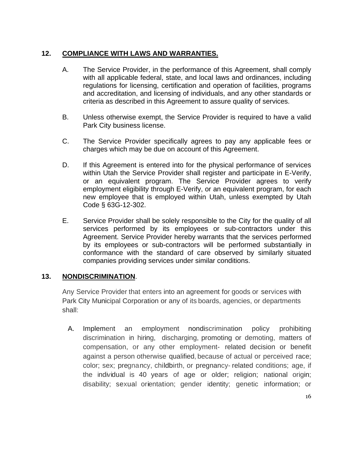# **12. COMPLIANCE WITH LAWS AND WARRANTIES.**

- A. The Service Provider, in the performance of this Agreement, shall comply with all applicable federal, state, and local laws and ordinances, including regulations for licensing, certification and operation of facilities, programs and accreditation, and licensing of individuals, and any other standards or criteria as described in this Agreement to assure quality of services.
- B. Unless otherwise exempt, the Service Provider is required to have a valid Park City business license.
- C. The Service Provider specifically agrees to pay any applicable fees or charges which may be due on account of this Agreement.
- D. If this Agreement is entered into for the physical performance of services within Utah the Service Provider shall register and participate in E-Verify, or an equivalent program. The Service Provider agrees to verify employment eligibility through E-Verify, or an equivalent program, for each new employee that is employed within Utah, unless exempted by Utah Code § 63G-12-302.
- E. Service Provider shall be solely responsible to the City for the quality of all services performed by its employees or sub-contractors under this Agreement. Service Provider hereby warrants that the services performed by its employees or sub-contractors will be performed substantially in conformance with the standard of care observed by similarly situated companies providing services under similar conditions.

# **13. NONDISCRIMINATION**.

Any Service Provider that enters into an agreement for goods or services with Park City Municipal Corporation or any of its boards, agencies, or departments shall:

A. Implement an employment nondiscrimination policy prohibiting discrimination in hiring, discharging, promoting or demoting, matters of compensation, or any other employment- related decision or benefit against a person otherwise qualified, because of actual or perceived race; color; sex; pregnancy, childbirth, or pregnancy- related conditions; age, if the individual is 40 years of age or older; religion; national origin; disability; sexual orientation; gender identity; genetic information; or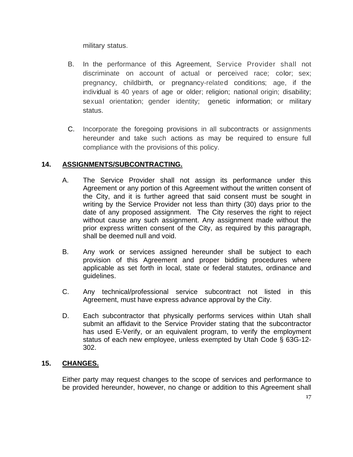military status.

- B. In the performance of this Agreement, Service Provider shall not discriminate on account of actual or perceived race; color; sex; pregnancy, childbirth, or pregnancy-related conditions; age, if the individual is 40 years of age or older; religion; national origin; disability; sexual orientation; gender identity; genetic information; or military status.
- C. Incorporate the foregoing provisions in all subcontracts or assignments hereunder and take such actions as may be required to ensure full compliance with the provisions of this policy.

# **14. ASSIGNMENTS/SUBCONTRACTING.**

- A. The Service Provider shall not assign its performance under this Agreement or any portion of this Agreement without the written consent of the City, and it is further agreed that said consent must be sought in writing by the Service Provider not less than thirty (30) days prior to the date of any proposed assignment. The City reserves the right to reject without cause any such assignment. Any assignment made without the prior express written consent of the City, as required by this paragraph, shall be deemed null and void.
- B. Any work or services assigned hereunder shall be subject to each provision of this Agreement and proper bidding procedures where applicable as set forth in local, state or federal statutes, ordinance and guidelines.
- C. Any technical/professional service subcontract not listed in this Agreement, must have express advance approval by the City.
- D. Each subcontractor that physically performs services within Utah shall submit an affidavit to the Service Provider stating that the subcontractor has used E-Verify, or an equivalent program, to verify the employment status of each new employee, unless exempted by Utah Code § 63G-12- 302.

# **15. CHANGES.**

Either party may request changes to the scope of services and performance to be provided hereunder, however, no change or addition to this Agreement shall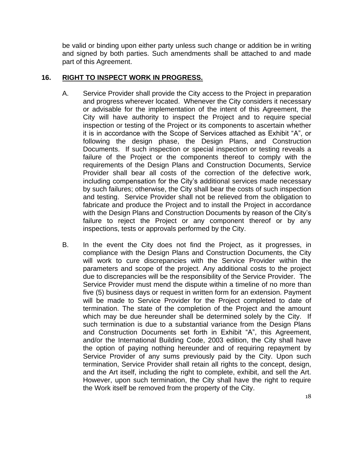be valid or binding upon either party unless such change or addition be in writing and signed by both parties. Such amendments shall be attached to and made part of this Agreement.

#### **16. RIGHT TO INSPECT WORK IN PROGRESS.**

- A. Service Provider shall provide the City access to the Project in preparation and progress wherever located. Whenever the City considers it necessary or advisable for the implementation of the intent of this Agreement, the City will have authority to inspect the Project and to require special inspection or testing of the Project or its components to ascertain whether it is in accordance with the Scope of Services attached as Exhibit "A", or following the design phase, the Design Plans, and Construction Documents. If such inspection or special inspection or testing reveals a failure of the Project or the components thereof to comply with the requirements of the Design Plans and Construction Documents, Service Provider shall bear all costs of the correction of the defective work, including compensation for the City's additional services made necessary by such failures; otherwise, the City shall bear the costs of such inspection and testing. Service Provider shall not be relieved from the obligation to fabricate and produce the Project and to install the Project in accordance with the Design Plans and Construction Documents by reason of the City's failure to reject the Project or any component thereof or by any inspections, tests or approvals performed by the City.
- B. In the event the City does not find the Project, as it progresses, in compliance with the Design Plans and Construction Documents, the City will work to cure discrepancies with the Service Provider within the parameters and scope of the project. Any additional costs to the project due to discrepancies will be the responsibility of the Service Provider. The Service Provider must mend the dispute within a timeline of no more than five (5) business days or request in written form for an extension. Payment will be made to Service Provider for the Project completed to date of termination. The state of the completion of the Project and the amount which may be due hereunder shall be determined solely by the City. If such termination is due to a substantial variance from the Design Plans and Construction Documents set forth in Exhibit "A", this Agreement, and/or the International Building Code, 2003 edition, the City shall have the option of paying nothing hereunder and of requiring repayment by Service Provider of any sums previously paid by the City. Upon such termination, Service Provider shall retain all rights to the concept, design, and the Art itself, including the right to complete, exhibit, and sell the Art. However, upon such termination, the City shall have the right to require the Work itself be removed from the property of the City.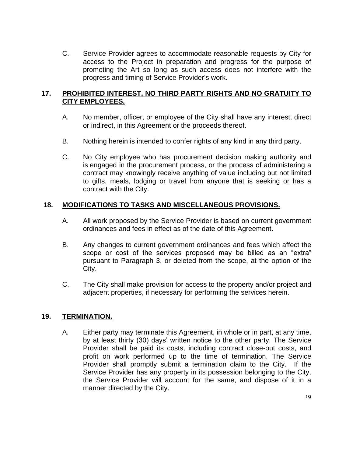C. Service Provider agrees to accommodate reasonable requests by City for access to the Project in preparation and progress for the purpose of promoting the Art so long as such access does not interfere with the progress and timing of Service Provider's work.

# **17. PROHIBITED INTEREST, NO THIRD PARTY RIGHTS AND NO GRATUITY TO CITY EMPLOYEES.**

- A. No member, officer, or employee of the City shall have any interest, direct or indirect, in this Agreement or the proceeds thereof.
- B. Nothing herein is intended to confer rights of any kind in any third party.
- C. No City employee who has procurement decision making authority and is engaged in the procurement process, or the process of administering a contract may knowingly receive anything of value including but not limited to gifts, meals, lodging or travel from anyone that is seeking or has a contract with the City.

# **18. MODIFICATIONS TO TASKS AND MISCELLANEOUS PROVISIONS.**

- A. All work proposed by the Service Provider is based on current government ordinances and fees in effect as of the date of this Agreement.
- B. Any changes to current government ordinances and fees which affect the scope or cost of the services proposed may be billed as an "extra" pursuant to Paragraph 3, or deleted from the scope, at the option of the City.
- C. The City shall make provision for access to the property and/or project and adjacent properties, if necessary for performing the services herein.

#### **19. TERMINATION.**

A. Either party may terminate this Agreement, in whole or in part, at any time, by at least thirty (30) days' written notice to the other party. The Service Provider shall be paid its costs, including contract close-out costs, and profit on work performed up to the time of termination. The Service Provider shall promptly submit a termination claim to the City. If the Service Provider has any property in its possession belonging to the City, the Service Provider will account for the same, and dispose of it in a manner directed by the City.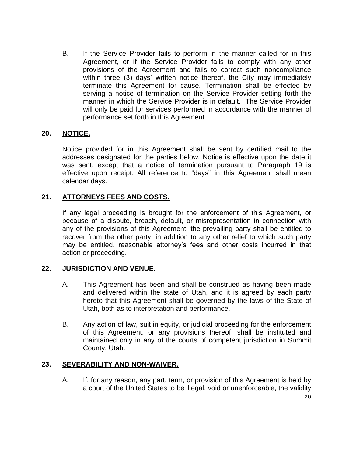B. If the Service Provider fails to perform in the manner called for in this Agreement, or if the Service Provider fails to comply with any other provisions of the Agreement and fails to correct such noncompliance within three (3) days' written notice thereof, the City may immediately terminate this Agreement for cause. Termination shall be effected by serving a notice of termination on the Service Provider setting forth the manner in which the Service Provider is in default. The Service Provider will only be paid for services performed in accordance with the manner of performance set forth in this Agreement.

# **20. NOTICE.**

Notice provided for in this Agreement shall be sent by certified mail to the addresses designated for the parties below. Notice is effective upon the date it was sent, except that a notice of termination pursuant to Paragraph 19 is effective upon receipt. All reference to "days" in this Agreement shall mean calendar days.

# **21. ATTORNEYS FEES AND COSTS.**

If any legal proceeding is brought for the enforcement of this Agreement, or because of a dispute, breach, default, or misrepresentation in connection with any of the provisions of this Agreement, the prevailing party shall be entitled to recover from the other party, in addition to any other relief to which such party may be entitled, reasonable attorney's fees and other costs incurred in that action or proceeding.

#### **22. JURISDICTION AND VENUE.**

- A. This Agreement has been and shall be construed as having been made and delivered within the state of Utah, and it is agreed by each party hereto that this Agreement shall be governed by the laws of the State of Utah, both as to interpretation and performance.
- B. Any action of law, suit in equity, or judicial proceeding for the enforcement of this Agreement, or any provisions thereof, shall be instituted and maintained only in any of the courts of competent jurisdiction in Summit County, Utah.

#### **23. SEVERABILITY AND NON-WAIVER.**

A. If, for any reason, any part, term, or provision of this Agreement is held by a court of the United States to be illegal, void or unenforceable, the validity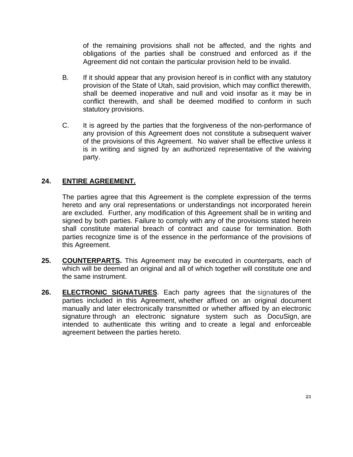of the remaining provisions shall not be affected, and the rights and obligations of the parties shall be construed and enforced as if the Agreement did not contain the particular provision held to be invalid.

- B. If it should appear that any provision hereof is in conflict with any statutory provision of the State of Utah, said provision, which may conflict therewith, shall be deemed inoperative and null and void insofar as it may be in conflict therewith, and shall be deemed modified to conform in such statutory provisions.
- C. It is agreed by the parties that the forgiveness of the non-performance of any provision of this Agreement does not constitute a subsequent waiver of the provisions of this Agreement. No waiver shall be effective unless it is in writing and signed by an authorized representative of the waiving party.

# **24. ENTIRE AGREEMENT.**

The parties agree that this Agreement is the complete expression of the terms hereto and any oral representations or understandings not incorporated herein are excluded. Further, any modification of this Agreement shall be in writing and signed by both parties. Failure to comply with any of the provisions stated herein shall constitute material breach of contract and cause for termination. Both parties recognize time is of the essence in the performance of the provisions of this Agreement.

- **25. COUNTERPARTS.** This Agreement may be executed in counterparts, each of which will be deemed an original and all of which together will constitute one and the same instrument.
- **26. ELECTRONIC SIGNATURES**. Each party agrees that the signatures of the parties included in this Agreement, whether affixed on an original document manually and later electronically transmitted or whether affixed by an electronic signature through an electronic signature system such as DocuSign, are intended to authenticate this writing and to create a legal and enforceable agreement between the parties hereto.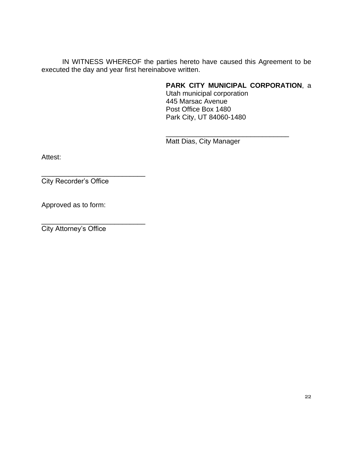IN WITNESS WHEREOF the parties hereto have caused this Agreement to be executed the day and year first hereinabove written.

# **PARK CITY MUNICIPAL CORPORATION**, a

\_\_\_\_\_\_\_\_\_\_\_\_\_\_\_\_\_\_\_\_\_\_\_\_\_\_\_\_\_\_\_\_

Utah municipal corporation 445 Marsac Avenue Post Office Box 1480 Park City, UT 84060-1480

Matt Dias, City Manager

Attest:

City Recorder's Office

\_\_\_\_\_\_\_\_\_\_\_\_\_\_\_\_\_\_\_\_\_\_\_\_\_\_\_

Approved as to form:

\_\_\_\_\_\_\_\_\_\_\_\_\_\_\_\_\_\_\_\_\_\_\_\_\_\_\_ City Attorney's Office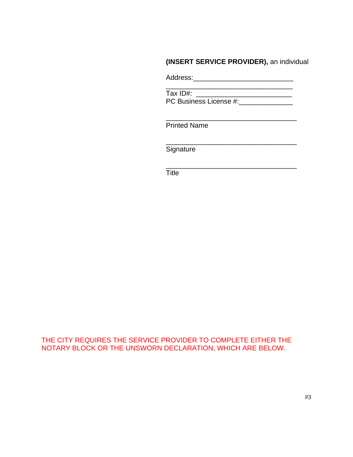# **(INSERT SERVICE PROVIDER),** an individual

Address:\_\_\_\_\_\_\_\_\_\_\_\_\_\_\_\_\_\_\_\_\_\_\_\_\_\_

\_\_\_\_\_\_\_\_\_\_\_\_\_\_\_\_\_\_\_\_\_\_\_\_\_\_\_\_\_\_\_\_\_ Tax ID#: \_\_\_\_\_\_\_\_\_\_\_\_\_\_\_\_\_\_\_\_\_\_\_\_\_ PC Business License #:\_\_\_\_\_\_\_\_\_\_\_\_\_\_

\_\_\_\_\_\_\_\_\_\_\_\_\_\_\_\_\_\_\_\_\_\_\_\_\_\_\_\_\_\_\_\_\_\_

\_\_\_\_\_\_\_\_\_\_\_\_\_\_\_\_\_\_\_\_\_\_\_\_\_\_\_\_\_\_\_\_\_\_

\_\_\_\_\_\_\_\_\_\_\_\_\_\_\_\_\_\_\_\_\_\_\_\_\_\_\_\_\_\_\_\_\_\_

Printed Name

**Signature** 

Title

THE CITY REQUIRES THE SERVICE PROVIDER TO COMPLETE EITHER THE NOTARY BLOCK OR THE UNSWORN DECLARATION, WHICH ARE BELOW.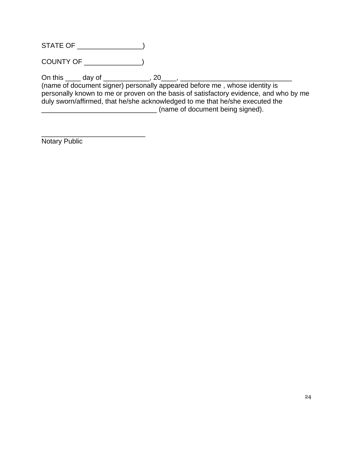STATE OF \_\_\_\_\_\_\_\_\_\_\_\_\_\_\_\_\_)

COUNTY OF \_\_\_\_\_\_\_\_\_\_\_\_\_\_\_)

\_\_\_\_\_\_\_\_\_\_\_\_\_\_\_\_\_\_\_\_\_\_\_\_\_\_\_

On this \_\_\_\_ day of \_\_\_\_\_\_\_\_\_\_\_\_, 20\_\_\_\_, \_\_\_\_\_\_\_\_\_\_\_\_\_\_\_\_\_\_\_\_\_\_\_\_\_\_\_\_\_

(name of document signer) personally appeared before me , whose identity is personally known to me or proven on the basis of satisfactory evidence, and who by me duly sworn/affirmed, that he/she acknowledged to me that he/she executed the \_\_\_\_\_\_\_\_\_\_\_\_\_\_\_\_\_\_\_\_\_\_\_\_\_\_\_\_\_\_ (name of document being signed).

Notary Public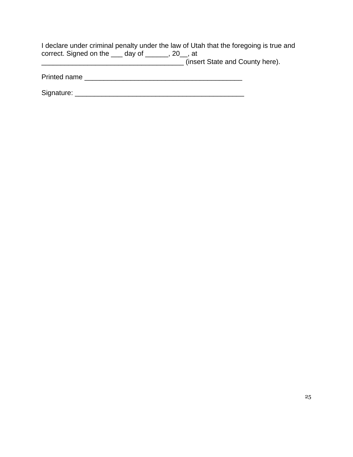| I declare under criminal penalty under the law of Utah that the foregoing is true and |  |  |                                 |  |
|---------------------------------------------------------------------------------------|--|--|---------------------------------|--|
| correct. Signed on the $\_\_\_$ day of $\_\_\_\_$ , 20, at                            |  |  |                                 |  |
|                                                                                       |  |  | (insert State and County here). |  |

Printed name \_\_\_\_\_\_\_\_\_\_\_\_\_\_\_\_\_\_\_\_\_\_\_\_\_\_\_\_\_\_\_\_\_\_\_\_\_\_\_\_\_

Signature: \_\_\_\_\_\_\_\_\_\_\_\_\_\_\_\_\_\_\_\_\_\_\_\_\_\_\_\_\_\_\_\_\_\_\_\_\_\_\_\_\_\_\_\_